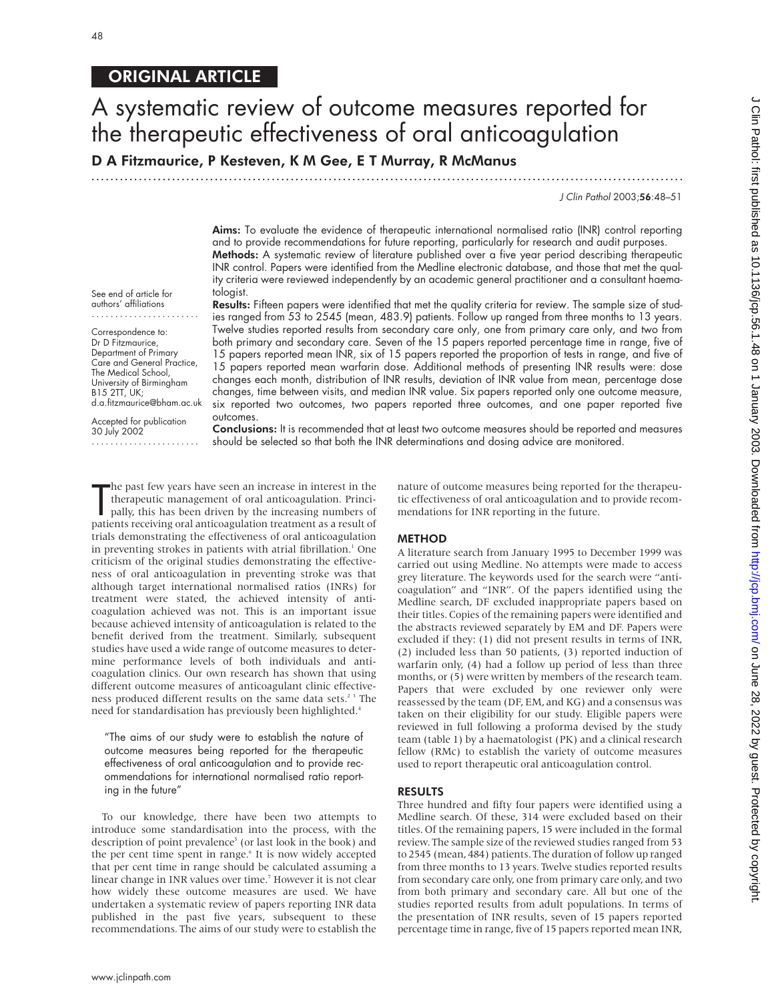### ORIGINAL ARTICLE

# A systematic review of outcome measures reported for the therapeutic effectiveness of oral anticoagulation

D A Fitzmaurice, P Kesteven, K M Gee, E T Murray, R McManus

.............................................................................................................................

J Clin Pathol 2003;56:48–51

Aims: To evaluate the evidence of therapeutic international normalised ratio (INR) control reporting and to provide recommendations for future reporting, particularly for research and audit purposes. Methods: A systematic review of literature published over a five year period describing therapeutic INR control. Papers were identified from the Medline electronic database, and those that met the quality criteria were reviewed independently by an academic general practitioner and a consultant haematologist.

See end of article for authors' affiliations .......................

Correspondence to: Dr D Fitzmaurice, Department of Primary Care and General Practice, The Medical School, University of Birmingham B15 2TT, UK; d.a.fitzmaurice@bham.ac.uk

Accepted for publication 30 July 2002 .......................

Results: Fifteen papers were identified that met the quality criteria for review. The sample size of studies ranged from 53 to 2545 (mean, 483.9) patients. Follow up ranged from three months to 13 years. Twelve studies reported results from secondary care only, one from primary care only, and two from both primary and secondary care. Seven of the 15 papers reported percentage time in range, five of 15 papers reported mean INR, six of 15 papers reported the proportion of tests in range, and five of 15 papers reported mean warfarin dose. Additional methods of presenting INR results were: dose changes each month, distribution of INR results, deviation of INR value from mean, percentage dose changes, time between visits, and median INR value. Six papers reported only one outcome measure, six reported two outcomes, two papers reported three outcomes, and one paper reported five outcomes.

Conclusions: It is recommended that at least two outcome measures should be reported and measures should be selected so that both the INR determinations and dosing advice are monitored.

The past few years have seen an increase in interest in the therapeutic management of oral anticoagulation. Principally, this has been driven by the increasing numbers of patients receiving oral anticoagulation treatment a he past few years have seen an increase in interest in the therapeutic management of oral anticoagulation. Principally, this has been driven by the increasing numbers of trials demonstrating the effectiveness of oral anticoagulation in preventing strokes in patients with atrial fibrillation.<sup>1</sup> One criticism of the original studies demonstrating the effectiveness of oral anticoagulation in preventing stroke was that although target international normalised ratios (INRs) for treatment were stated, the achieved intensity of anticoagulation achieved was not. This is an important issue because achieved intensity of anticoagulation is related to the benefit derived from the treatment. Similarly, subsequent studies have used a wide range of outcome measures to determine performance levels of both individuals and anticoagulation clinics. Our own research has shown that using different outcome measures of anticoagulant clinic effectiveness produced different results on the same data sets.<sup>23</sup> The need for standardisation has previously been highlighted.<sup>4</sup>

"The aims of our study were to establish the nature of outcome measures being reported for the therapeutic effectiveness of oral anticoagulation and to provide recommendations for international normalised ratio reporting in the future"

To our knowledge, there have been two attempts to introduce some standardisation into the process, with the description of point prevalence<sup>5</sup> (or last look in the book) and the per cent time spent in range.<sup>6</sup> It is now widely accepted that per cent time in range should be calculated assuming a linear change in INR values over time.<sup>7</sup> However it is not clear how widely these outcome measures are used. We have undertaken a systematic review of papers reporting INR data published in the past five years, subsequent to these recommendations. The aims of our study were to establish the

nature of outcome measures being reported for the therapeutic effectiveness of oral anticoagulation and to provide recommendations for INR reporting in the future.

#### METHOD

A literature search from January 1995 to December 1999 was carried out using Medline. No attempts were made to access grey literature. The keywords used for the search were "anticoagulation" and "INR". Of the papers identified using the Medline search, DF excluded inappropriate papers based on their titles. Copies of the remaining papers were identified and the abstracts reviewed separately by EM and DF. Papers were excluded if they: (1) did not present results in terms of INR, (2) included less than 50 patients, (3) reported induction of warfarin only, (4) had a follow up period of less than three months, or (5) were written by members of the research team. Papers that were excluded by one reviewer only were reassessed by the team (DF, EM, and KG) and a consensus was taken on their eligibility for our study. Eligible papers were reviewed in full following a proforma devised by the study team (table 1) by a haematologist (PK) and a clinical research fellow (RMc) to establish the variety of outcome measures used to report therapeutic oral anticoagulation control.

#### RESULTS

Three hundred and fifty four papers were identified using a Medline search. Of these, 314 were excluded based on their titles. Of the remaining papers, 15 were included in the formal review. The sample size of the reviewed studies ranged from 53 to 2545 (mean, 484) patients. The duration of follow up ranged from three months to 13 years. Twelve studies reported results from secondary care only, one from primary care only, and two from both primary and secondary care. All but one of the studies reported results from adult populations. In terms of the presentation of INR results, seven of 15 papers reported percentage time in range, five of 15 papers reported mean INR,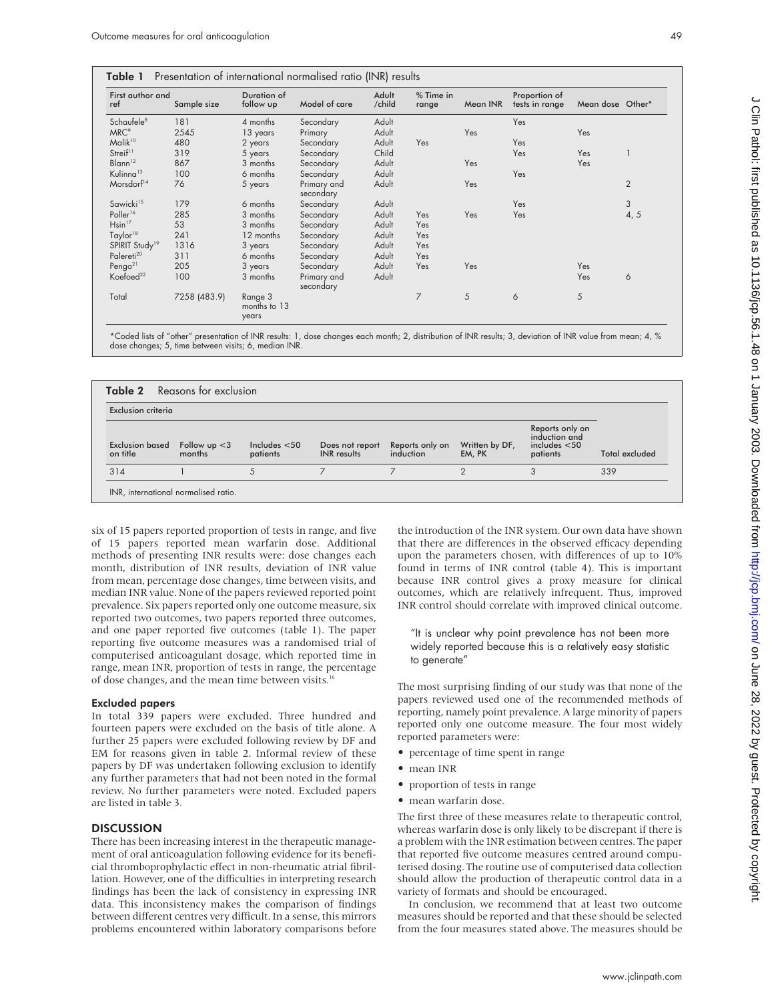| First author and<br>ref    | Sample size  | Duration of<br>follow up         | Model of care            | Adult<br>/child | % Time in<br>range | Mean INR | Proportion of<br>tests in range | Mean dose Other* |                |
|----------------------------|--------------|----------------------------------|--------------------------|-----------------|--------------------|----------|---------------------------------|------------------|----------------|
| Schaufele <sup>8</sup>     | 181          | 4 months                         | Secondary                | Adult           |                    |          | Yes                             |                  |                |
| MRC <sup>9</sup>           | 2545         | 13 years                         | Primary                  | Adult           |                    | Yes      |                                 | Yes              |                |
| Malik <sup>10</sup>        | 480          | 2 years                          | Secondary                | Adult           | Yes                |          | Yes                             |                  |                |
| Streif <sup>11</sup>       | 319          | 5 years                          | Secondary                | Child           |                    |          | Yes                             | Yes              |                |
| Blann <sup>12</sup>        | 867          | 3 months                         | Secondary                | Adult           |                    | Yes      |                                 | Yes              |                |
| Kulinna <sup>13</sup>      | 100          | 6 months                         | Secondary                | Adult           |                    |          | Yes                             |                  |                |
| Morsdorf <sup>14</sup>     | 76           | 5 years                          | Primary and<br>secondary | Adult           |                    | Yes      |                                 |                  | $\overline{2}$ |
| Sawicki <sup>15</sup>      | 179          | 6 months                         | Secondary                | Adult           |                    |          | Yes                             |                  | 3              |
| Poller <sup>16</sup>       | 285          | 3 months                         | Secondary                | Adult           | Yes                | Yes      | Yes                             |                  | 4, 5           |
| $H\sin^{17}$               | 53           | 3 months                         | Secondary                | Adult           | Yes                |          |                                 |                  |                |
| Taylor <sup>18</sup>       | 241          | 12 months                        | Secondary                | Adult           | Yes                |          |                                 |                  |                |
| SPIRIT Study <sup>19</sup> | 1316         | 3 years                          | Secondary                | Adult           | Yes                |          |                                 |                  |                |
| Palereti <sup>20</sup>     | 311          | 6 months                         | Secondary                | Adult           | Yes                |          |                                 |                  |                |
| Pengo <sup>21</sup>        | 205          | 3 years                          | Secondary                | Adult           | Yes                | Yes      |                                 | Yes              |                |
| Koefoed <sup>22</sup>      | 100          | 3 months                         | Primary and<br>secondary | Adult           |                    |          |                                 | Yes              | 6              |
| Total                      | 7258 (483.9) | Range 3<br>months to 13<br>years |                          |                 | 7                  | 5        | 6                               | 5                |                |

\*Coded lists of "other" presentation of INR results: 1, dose changes each month; 2, distribution of INR results; 3, deviation of INR value from mean; 4, % dose changes; 5, time between visits; 6, median INR.

| <b>Table 2</b> Reasons for exclusion |                           |                             |                                       |                              |                          |                                                               |                       |
|--------------------------------------|---------------------------|-----------------------------|---------------------------------------|------------------------------|--------------------------|---------------------------------------------------------------|-----------------------|
| Exclusion criteria                   |                           |                             |                                       |                              |                          |                                                               |                       |
| Exclusion based<br>on title          | Follow $up < 3$<br>months | Includes $<$ 50<br>patients | Does not report<br><b>INR</b> results | Reports only on<br>induction | Written by DF,<br>EM, PK | Reports only on<br>induction and<br>includes < 50<br>patients | <b>Total excluded</b> |
| 314                                  |                           |                             |                                       |                              |                          | 3                                                             | 339                   |
| INR, international normalised ratio. |                           |                             |                                       |                              |                          |                                                               |                       |

six of 15 papers reported proportion of tests in range, and five of 15 papers reported mean warfarin dose. Additional methods of presenting INR results were: dose changes each month, distribution of INR results, deviation of INR value from mean, percentage dose changes, time between visits, and median INR value. None of the papers reviewed reported point prevalence. Six papers reported only one outcome measure, six reported two outcomes, two papers reported three outcomes, and one paper reported five outcomes (table 1). The paper reporting five outcome measures was a randomised trial of computerised anticoagulant dosage, which reported time in range, mean INR, proportion of tests in range, the percentage of dose changes, and the mean time between visits.<sup>16</sup>

#### Excluded papers

In total 339 papers were excluded. Three hundred and fourteen papers were excluded on the basis of title alone. A further 25 papers were excluded following review by DF and EM for reasons given in table 2. Informal review of these papers by DF was undertaken following exclusion to identify any further parameters that had not been noted in the formal review. No further parameters were noted. Excluded papers are listed in table 3.

#### **DISCUSSION**

There has been increasing interest in the therapeutic management of oral anticoagulation following evidence for its beneficial thromboprophylactic effect in non-rheumatic atrial fibrillation. However, one of the difficulties in interpreting research findings has been the lack of consistency in expressing INR data. This inconsistency makes the comparison of findings between different centres very difficult. In a sense, this mirrors problems encountered within laboratory comparisons before

the introduction of the INR system. Our own data have shown that there are differences in the observed efficacy depending upon the parameters chosen, with differences of up to 10% found in terms of INR control (table 4). This is important because INR control gives a proxy measure for clinical outcomes, which are relatively infrequent. Thus, improved INR control should correlate with improved clinical outcome.

#### "It is unclear why point prevalence has not been more widely reported because this is a relatively easy statistic to generate"

The most surprising finding of our study was that none of the papers reviewed used one of the recommended methods of reporting, namely point prevalence. A large minority of papers reported only one outcome measure. The four most widely reported parameters were:

- percentage of time spent in range
- mean INR
- proportion of tests in range
- mean warfarin dose.

The first three of these measures relate to therapeutic control, whereas warfarin dose is only likely to be discrepant if there is a problem with the INR estimation between centres. The paper that reported five outcome measures centred around computerised dosing. The routine use of computerised data collection should allow the production of therapeutic control data in a variety of formats and should be encouraged.

In conclusion, we recommend that at least two outcome measures should be reported and that these should be selected from the four measures stated above. The measures should be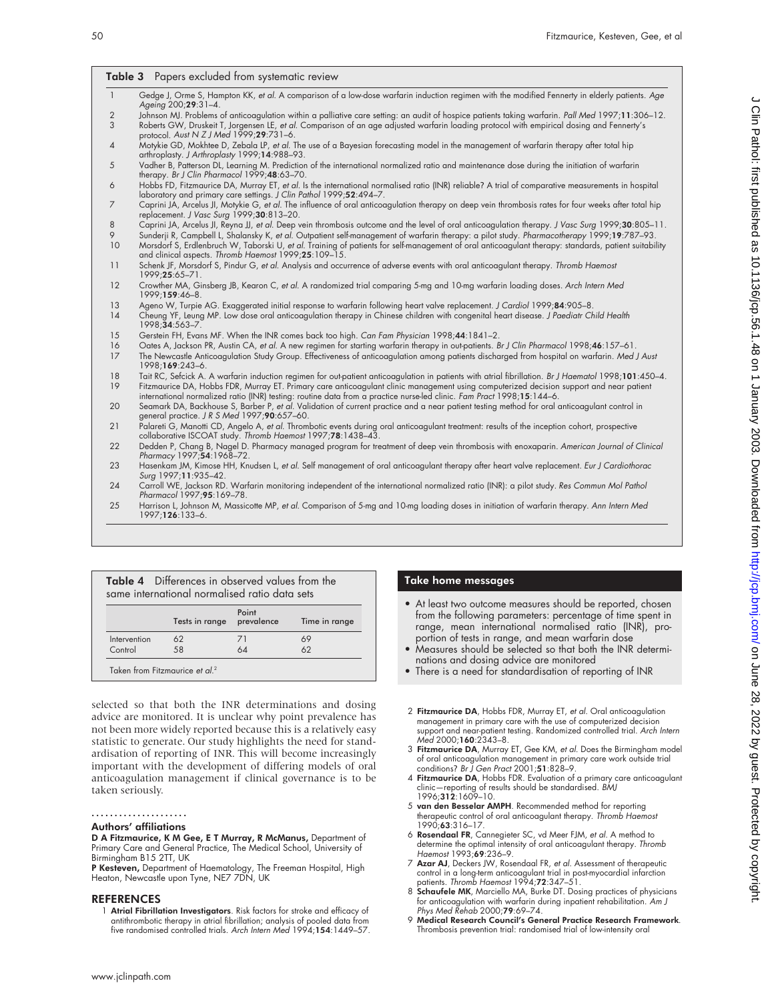| $\mathbf{1}$    | Gedge J, Orme S, Hampton KK, et al. A comparison of a low-dose warfarin induction regimen with the modified Fennerty in elderly patients. Age                                                                                                                                       |
|-----------------|-------------------------------------------------------------------------------------------------------------------------------------------------------------------------------------------------------------------------------------------------------------------------------------|
| $\overline{2}$  | Ageing 200;29:31-4.<br>Johnson MJ. Problems of anticoagulation within a palliative care setting: an audit of hospice patients taking warfarin. Pall Med 1997;11:306-12.                                                                                                             |
| 3               | Roberts GW, Druskeit T, Jorgensen LE, et al. Comparison of an age adjusted warfarin loading protocol with empirical dosing and Fennerty's<br>protocol. Aust N $ZJ$ Med 1999;29:731-6.                                                                                               |
| $\overline{4}$  | Motykie GD, Mokhtee D, Zebala LP, et al. The use of a Bayesian forecasting model in the management of warfarin therapy after total hip<br>arthroplasty. J Arthroplasty 1999;14:988-93.                                                                                              |
| 5               | Vadher B, Patterson DL, Learning M. Prediction of the international normalized ratio and maintenance dose during the initiation of warfarin<br>therapy. Br J Clin Pharmacol 1999;48:63-70.                                                                                          |
| 6               | Hobbs FD, Fitzmaurice DA, Murray ET, et al. Is the international normalised ratio (INR) reliable? A trial of comparative measurements in hospital<br>laboratory and primary care settings. J Clin Pathol 1999;52:494-7.                                                             |
| 7               | Caprini JA, Arcelus JI, Motykie G, et al. The influence of oral anticoagulation therapy on deep vein thrombosis rates for four weeks after total hip<br>replacement. J Vasc Surg 1999;30:813-20.                                                                                    |
| 8               | Caprini JA, Arcelus JI, Reyna JJ, et al. Deep vein thrombosis outcome and the level of oral anticoagulation therapy. J Vasc Surg 1999;30:805-11.                                                                                                                                    |
| 9               | Sunderji R, Campbell L, Shalansky K, et al. Outpatient self-management of warfarin therapy: a pilot study. Pharmacotherapy 1999;19:787-93.                                                                                                                                          |
| 10 <sup>°</sup> | Morsdorf S, Erdlenbruch W, Taborski U, et al. Training of patients for self-management of oral anticoagulant therapy: standards, patient suitability<br>and clinical aspects. Thromb Haemost 1999;25:109-15.                                                                        |
| 11              | Schenk JF, Morsdorf S, Pindur G, et al. Analysis and occurrence of adverse events with oral anticoagulant therapy. Thromb Haemost<br>1999;25:65-71.                                                                                                                                 |
| 12              | Crowther MA, Ginsberg JB, Kearon C, et al. A randomized trial comparing 5-mg and 10-mg warfarin loading doses. Arch Intern Med<br>1999;159:46-8.                                                                                                                                    |
| 13<br>14        | Ageno W, Turpie AG. Exaggerated initial response to warfarin following heart valve replacement. J Cardiol 1999;84:905-8.<br>Cheung YF, Leung MP. Low dose oral anticoagulation therapy in Chinese children with congenital heart disease. J Paediatr Child Health<br>1998:34:563-7. |
| 15              | Gerstein FH, Evans MF. When the INR comes back too high. Can Fam Physician 1998;44:1841-2.                                                                                                                                                                                          |
| 16              | Oates A, Jackson PR, Austin CA, et al. A new regimen for starting warfarin therapy in out-patients. Br J Clin Pharmacol 1998;46:157-61.                                                                                                                                             |
| 17              | The Newcastle Anticoagulation Study Group. Effectiveness of anticoagulation among patients discharged from hospital on warfarin. Med J Aust<br>1998;169:243-6.                                                                                                                      |
| 18              | Tait RC, Sefcick A. A warfarin induction regimen for out-patient anticoagulation in patients with atrial fibrillation. Br J Haematol 1998;101:450-4.                                                                                                                                |
| 19              | Fitzmaurice DA, Hobbs FDR, Murray ET. Primary care anticoagulant clinic management using computerized decision support and near patient<br>international normalized ratio (INR) testing: routine data from a practice nurse-led clinic. Fam Pract 1998;15:144-6.                    |
| 20              | Seamark DA, Backhouse S, Barber P, et al. Validation of current practice and a near patient testing method for oral anticoagulant control in<br>general practice. J R S Med 1997;90:657-60.                                                                                         |
| 21              | Palareti G, Manotti CD, Angelo A, et al. Thrombotic events during oral anticoagulant treatment: results of the inception cohort, prospective<br>collaborative ISCOAT study. Thromb Haemost 1997;78:1438-43.                                                                         |
| 22              | Dedden P, Chang B, Nagel D. Pharmacy managed program for treatment of deep vein thrombosis with enoxaparin. American Journal of Clinical<br>Pharmacy 1997;54:1968-72.                                                                                                               |
| 23              | Hasenkam JM, Kimose HH, Knudsen L, et al. Self management of oral anticoagulant therapy after heart valve replacement. Eur J Cardiothorac<br>Surg 1997;11:935-42.                                                                                                                   |
| 24              | Carroll WE, Jackson RD. Warfarin monitoring independent of the international normalized ratio (INR): a pilot study. Res Commun Mol Pathol<br>Pharmacol 1997;95:169-78.                                                                                                              |
| 25              | Harrison L, Johnson M, Massicotte MP, et al. Comparison of 5-mg and 10-mg loading doses in initiation of warfarin therapy. Ann Intern Med<br>1997;126:133-6.                                                                                                                        |

|              |                           | Point |               |
|--------------|---------------------------|-------|---------------|
|              | Tests in range prevalence |       | Time in range |
| Intervention | 62                        | 71    | 69            |
| Control      | 58                        | 64    | 62            |

selected so that both the INR determinations and dosing advice are monitored. It is unclear why point prevalence has not been more widely reported because this is a relatively easy statistic to generate. Our study highlights the need for standardisation of reporting of INR. This will become increasingly important with the development of differing models of oral anticoagulation management if clinical governance is to be taken seriously.

#### .....................

#### Authors' affiliations

D A Fitzmaurice, K M Gee, E T Murray, R McManus, Department of Primary Care and General Practice, The Medical School, University of Birmingham B15 2TT, UK

**P Kesteven,** Department of Haematology, The Freeman Hospital, High<br>Heaton, Newcastle upon Tyne, NE7 7DN, UK

#### REFERENCES

1 Atrial Fibrillation Investigators. Risk factors for stroke and efficacy of antithrombotic therapy in atrial fibrillation; analysis of pooled data from five randomised controlled trials. Arch Intern Med 1994;154:1449–57.

#### Take home messages

- At least two outcome measures should be reported, chosen from the following parameters: percentage of time spent in range, mean international normalised ratio (INR), proportion of tests in range, and mean warfarin dose
- Measures should be selected so that both the INR determinations and dosing advice are monitored
- There is a need for standardisation of reporting of INR
- 2 Fitzmaurice DA, Hobbs FDR, Murray ET, et al. Oral anticoagulation management in primary care with the use of computerized decision support and near-patient testing. Randomized controlled trial. Arch Intern Med 2000;160:2343–8.
- 3 Fitzmaurice DA, Murray ET, Gee KM, et al. Does the Birmingham model of oral anticoagulation management in primary care work outside trial<br>conditions? *Br J Gen Pract* 2001;**51**:828–9.
- 4 Fitzmaurice DA, Hobbs FDR. Evaluation of a primary care anticoagulant clinic—reporting of results should be standardised. BMJ 1996;312:1609–10.
- 5 van den Besselar AMPH. Recommended method for reporting therapeutic control of oral anticoagulant therapy. *Thromb Haemost*<br>1990;**63**:316–17.
- 6 Rosendaal FR, Cannegieter SC, vd Meer FJM, et al. A method to determine the optimal intensity of oral anticoagulant therapy. Thromb Haemost 1993;69:236–9.
- 7 Azar AJ, Deckers JW, Rosendaal FR, et al. Assessment of therapeutic control in a long-term anticoagulant trial in post-myocardial infarction<br>patients. *Thromb Haemost* 1994;**72**:347–51.<br>8 **Schaufele MK**, Marciello MA, Burke DT. Dosing practices of physicians
- for anticoagulation with warfarin during inpatient rehabilitation. Am J Phys Med Rehab 2000;79:69–74.
- 9 Medical Research Council's General Practice Research Framework. Thrombosis prevention trial: randomised trial of low-intensity oral